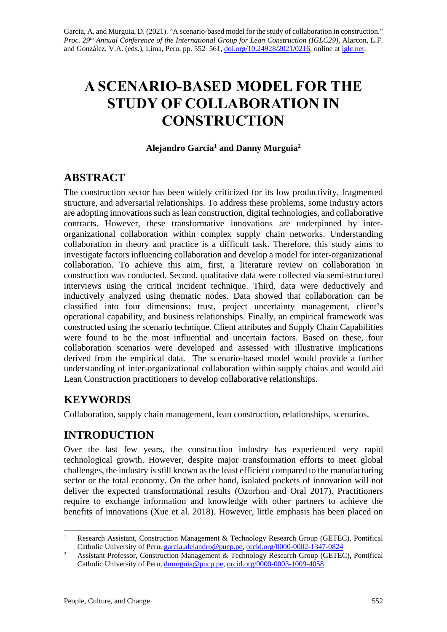# **A SCENARIO-BASED MODEL FOR THE STUDY OF COLLABORATION IN CONSTRUCTION**

#### **Alejandro Garcia<sup>1</sup> and Danny Murguia<sup>2</sup>**

# **ABSTRACT**

The construction sector has been widely criticized for its low productivity, fragmented structure, and adversarial relationships. To address these problems, some industry actors are adopting innovations such as lean construction, digital technologies, and collaborative contracts. However, these transformative innovations are underpinned by interorganizational collaboration within complex supply chain networks. Understanding collaboration in theory and practice is a difficult task. Therefore, this study aims to investigate factors influencing collaboration and develop a model for inter-organizational collaboration. To achieve this aim, first, a literature review on collaboration in construction was conducted. Second, qualitative data were collected via semi-structured interviews using the critical incident technique. Third, data were deductively and inductively analyzed using thematic nodes. Data showed that collaboration can be classified into four dimensions: trust, project uncertainty management, client's operational capability, and business relationships. Finally, an empirical framework was constructed using the scenario technique. Client attributes and Supply Chain Capabilities were found to be the most influential and uncertain factors. Based on these, four collaboration scenarios were developed and assessed with illustrative implications derived from the empirical data. The scenario-based model would provide a further understanding of inter-organizational collaboration within supply chains and would aid Lean Construction practitioners to develop collaborative relationships.

# **KEYWORDS**

Collaboration, supply chain management, lean construction, relationships, scenarios.

# **INTRODUCTION**

Over the last few years, the construction industry has experienced very rapid technological growth. However, despite major transformation efforts to meet global challenges, the industry is still known as the least efficient compared to the manufacturing sector or the total economy. On the other hand, isolated pockets of innovation will not deliver the expected transformational results (Ozorhon and Oral 2017). Practitioners require to exchange information and knowledge with other partners to achieve the benefits of innovations (Xue et al. 2018). However, little emphasis has been placed on

<sup>&</sup>lt;sup>1</sup> Research Assistant, Construction Management & Technology Research Group (GETEC), Pontifical Catholic University of Peru, [garcia.alejandro@pucp.pe,](mailto:garcia.alejandro@pucp.pe) [orcid.org/0000-0002-1347-0824](https://orcid.org/0000-0002-1347-0824)

<sup>&</sup>lt;sup>2</sup> Assistant Professor, Construction Management & Technology Research Group (GETEC), Pontifical Catholic University of Peru, [dmurguia@pucp.pe,](mailto:dmurguia@pucp.pe) [orcid.org/0000-0003-1009-4058](https://orcid.org/0000-0003-1009-4058)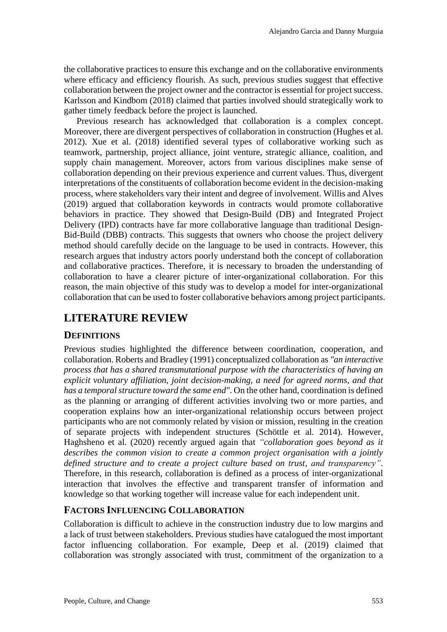the collaborative practices to ensure this exchange and on the collaborative environments where efficacy and efficiency flourish. As such, previous studies suggest that effective collaboration between the project owner and the contractor is essential for project success. Karlsson and Kindbom (2018) claimed that parties involved should strategically work to gather timely feedback before the project is launched.

Previous research has acknowledged that collaboration is a complex concept. Moreover, there are divergent perspectives of collaboration in construction (Hughes et al. 2012). Xue et al. (2018) identified several types of collaborative working such as teamwork, partnership, project alliance, joint venture, strategic alliance, coalition, and supply chain management. Moreover, actors from various disciplines make sense of collaboration depending on their previous experience and current values. Thus, divergent interpretations of the constituents of collaboration become evident in the decision-making process, where stakeholders vary their intent and degree of involvement. Willis and Alves (2019) argued that collaboration keywords in contracts would promote collaborative behaviors in practice. They showed that Design-Build (DB) and Integrated Project Delivery (IPD) contracts have far more collaborative language than traditional Design-Bid-Build (DBB) contracts. This suggests that owners who choose the project delivery method should carefully decide on the language to be used in contracts. However, this research argues that industry actors poorly understand both the concept of collaboration and collaborative practices. Therefore, it is necessary to broaden the understanding of collaboration to have a clearer picture of inter-organizational collaboration. For this reason, the main objective of this study was to develop a model for inter-organizational collaboration that can be used to foster collaborative behaviors among project participants.

# **LITERATURE REVIEW**

#### **DEFINITIONS**

Previous studies highlighted the difference between coordination, cooperation, and collaboration. Roberts and Bradley (1991) conceptualized collaboration as *"an interactive process that has a shared transmutational purpose with the characteristics of having an explicit voluntary affiliation, joint decision-making, a need for agreed norms, and that has a temporal structure toward the same end"*. On the other hand, coordination is defined as the planning or arranging of different activities involving two or more parties, and cooperation explains how an inter-organizational relationship occurs between project participants who are not commonly related by vision or mission, resulting in the creation of separate projects with independent structures (Schöttle et al. 2014). However, Haghsheno et al. (2020) recently argued again that *"collaboration goes beyond as it describes the common vision to create a common project organisation with a jointly defined structure and to create a project culture based on trust, and transparency"*. Therefore, in this research, collaboration is defined as a process of inter-organizational interaction that involves the effective and transparent transfer of information and knowledge so that working together will increase value for each independent unit.

#### **FACTORS INFLUENCING COLLABORATION**

Collaboration is difficult to achieve in the construction industry due to low margins and a lack of trust between stakeholders. Previous studies have catalogued the most important factor influencing collaboration. For example, Deep et al. (2019) claimed that collaboration was strongly associated with trust, commitment of the organization to a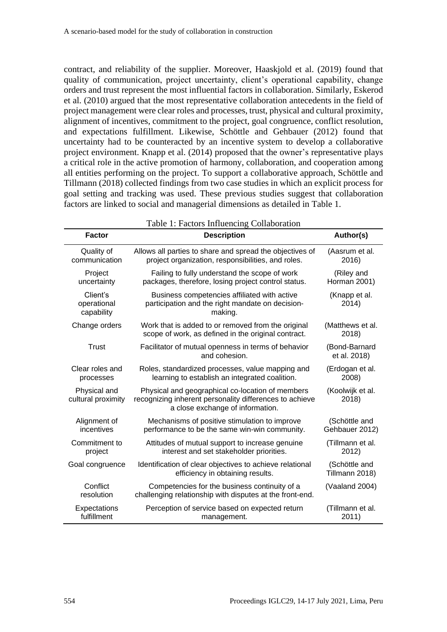contract, and reliability of the supplier. Moreover, Haaskjold et al. (2019) found that quality of communication, project uncertainty, client's operational capability, change orders and trust represent the most influential factors in collaboration. Similarly, Eskerod et al. (2010) argued that the most representative collaboration antecedents in the field of project management were clear roles and processes, trust, physical and cultural proximity, alignment of incentives, commitment to the project, goal congruence, conflict resolution, and expectations fulfillment. Likewise, Schöttle and Gehbauer (2012) found that uncertainty had to be counteracted by an incentive system to develop a collaborative project environment. Knapp et al. (2014) proposed that the owner's representative plays a critical role in the active promotion of harmony, collaboration, and cooperation among all entities performing on the project. To support a collaborative approach, Schöttle and Tillmann (2018) collected findings from two case studies in which an explicit process for goal setting and tracking was used. These previous studies suggest that collaboration factors are linked to social and managerial dimensions as detailed in Table 1.

| <b>Factor</b>                         | <b>Description</b>                                                                                                                              | Author(s)                       |
|---------------------------------------|-------------------------------------------------------------------------------------------------------------------------------------------------|---------------------------------|
| Quality of<br>communication           | Allows all parties to share and spread the objectives of<br>project organization, responsibilities, and roles.                                  | (Aasrum et al.<br>2016)         |
| Project<br>uncertainty                | Failing to fully understand the scope of work<br>packages, therefore, losing project control status.                                            | (Riley and<br>Horman 2001)      |
| Client's<br>operational<br>capability | Business competencies affiliated with active<br>participation and the right mandate on decision-<br>making.                                     | (Knapp et al.<br>2014)          |
| Change orders                         | Work that is added to or removed from the original<br>scope of work, as defined in the original contract.                                       | (Matthews et al.<br>2018)       |
| <b>Trust</b>                          | Facilitator of mutual openness in terms of behavior<br>and cohesion.                                                                            | (Bond-Barnard<br>et al. 2018)   |
| Clear roles and<br>processes          | Roles, standardized processes, value mapping and<br>learning to establish an integrated coalition.                                              | (Erdogan et al.<br>2008)        |
| Physical and<br>cultural proximity    | Physical and geographical co-location of members<br>recognizing inherent personality differences to achieve<br>a close exchange of information. | (Koolwijk et al.<br>2018)       |
| Alignment of<br>incentives            | Mechanisms of positive stimulation to improve<br>performance to be the same win-win community.                                                  | (Schöttle and<br>Gehbauer 2012) |
| Commitment to<br>project              | Attitudes of mutual support to increase genuine<br>interest and set stakeholder priorities.                                                     | (Tillmann et al.<br>2012)       |
| Goal congruence                       | Identification of clear objectives to achieve relational<br>efficiency in obtaining results.                                                    | (Schöttle and<br>Tillmann 2018) |
| Conflict<br>resolution                | Competencies for the business continuity of a<br>challenging relationship with disputes at the front-end.                                       | (Vaaland 2004)                  |
| Expectations<br>fulfillment           | Perception of service based on expected return<br>management.                                                                                   | (Tillmann et al.<br>2011)       |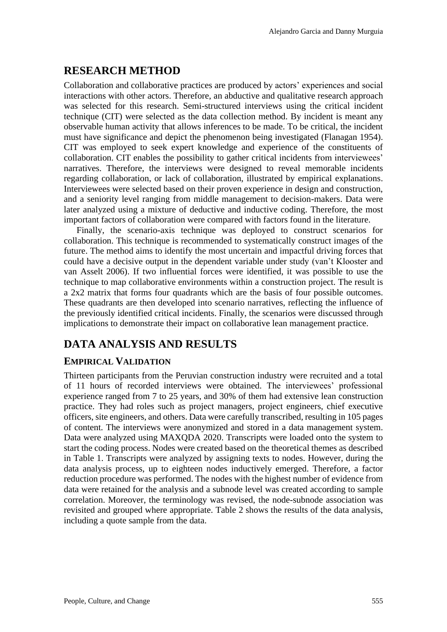### **RESEARCH METHOD**

Collaboration and collaborative practices are produced by actors' experiences and social interactions with other actors. Therefore, an abductive and qualitative research approach was selected for this research. Semi-structured interviews using the critical incident technique (CIT) were selected as the data collection method. By incident is meant any observable human activity that allows inferences to be made. To be critical, the incident must have significance and depict the phenomenon being investigated (Flanagan 1954). CIT was employed to seek expert knowledge and experience of the constituents of collaboration. CIT enables the possibility to gather critical incidents from interviewees' narratives. Therefore, the interviews were designed to reveal memorable incidents regarding collaboration, or lack of collaboration, illustrated by empirical explanations. Interviewees were selected based on their proven experience in design and construction, and a seniority level ranging from middle management to decision-makers. Data were later analyzed using a mixture of deductive and inductive coding. Therefore, the most important factors of collaboration were compared with factors found in the literature.

Finally, the scenario-axis technique was deployed to construct scenarios for collaboration. This technique is recommended to systematically construct images of the future. The method aims to identify the most uncertain and impactful driving forces that could have a decisive output in the dependent variable under study (van't Klooster and van Asselt 2006). If two influential forces were identified, it was possible to use the technique to map collaborative environments within a construction project. The result is a 2x2 matrix that forms four quadrants which are the basis of four possible outcomes. These quadrants are then developed into scenario narratives, reflecting the influence of the previously identified critical incidents. Finally, the scenarios were discussed through implications to demonstrate their impact on collaborative lean management practice.

# **DATA ANALYSIS AND RESULTS**

#### **EMPIRICAL VALIDATION**

Thirteen participants from the Peruvian construction industry were recruited and a total of 11 hours of recorded interviews were obtained. The interviewees' professional experience ranged from 7 to 25 years, and 30% of them had extensive lean construction practice. They had roles such as project managers, project engineers, chief executive officers, site engineers, and others. Data were carefully transcribed, resulting in 105 pages of content. The interviews were anonymized and stored in a data management system. Data were analyzed using MAXQDA 2020. Transcripts were loaded onto the system to start the coding process. Nodes were created based on the theoretical themes as described in Table 1. Transcripts were analyzed by assigning texts to nodes. However, during the data analysis process, up to eighteen nodes inductively emerged. Therefore, a factor reduction procedure was performed. The nodes with the highest number of evidence from data were retained for the analysis and a subnode level was created according to sample correlation. Moreover, the terminology was revised, the node-subnode association was revisited and grouped where appropriate. Table 2 shows the results of the data analysis, including a quote sample from the data.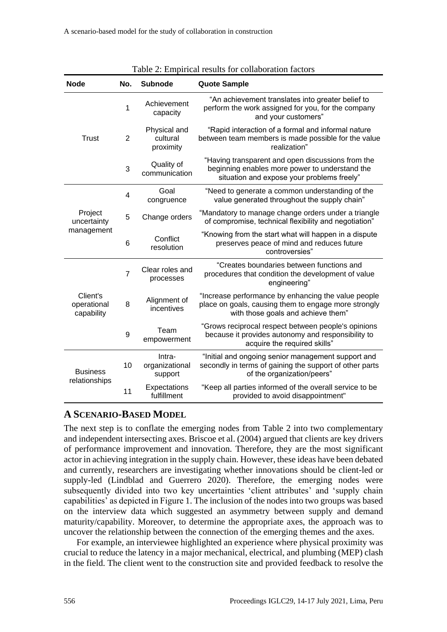|                                       |                |                                       | $1$ able $2$ . Empirical results for conaboration factors                                                                                         |
|---------------------------------------|----------------|---------------------------------------|---------------------------------------------------------------------------------------------------------------------------------------------------|
| <b>Node</b>                           | No.            | <b>Subnode</b>                        | <b>Quote Sample</b>                                                                                                                               |
|                                       | 1              | Achievement<br>capacity               | "An achievement translates into greater belief to<br>perform the work assigned for you, for the company<br>and your customers"                    |
| <b>Trust</b>                          | $\overline{2}$ | Physical and<br>cultural<br>proximity | "Rapid interaction of a formal and informal nature<br>between team members is made possible for the value<br>realization"                         |
|                                       | 3              | Quality of<br>communication           | "Having transparent and open discussions from the<br>beginning enables more power to understand the<br>situation and expose your problems freely" |
|                                       | 4              | Goal<br>congruence                    | "Need to generate a common understanding of the<br>value generated throughout the supply chain"                                                   |
| Project<br>uncertainty                | 5              | Change orders                         | "Mandatory to manage change orders under a triangle<br>of compromise, technical flexibility and negotiation"                                      |
| management                            | 6              | Conflict<br>resolution                | "Knowing from the start what will happen in a dispute<br>preserves peace of mind and reduces future<br>controversies"                             |
|                                       | $\overline{7}$ | Clear roles and<br>processes          | "Creates boundaries between functions and<br>procedures that condition the development of value<br>engineering"                                   |
| Client's<br>operational<br>capability | 8              | Alignment of<br>incentives            | "Increase performance by enhancing the value people<br>place on goals, causing them to engage more strongly<br>with those goals and achieve them" |
|                                       | 9              | Team<br>empowerment                   | "Grows reciprocal respect between people's opinions<br>because it provides autonomy and responsibility to<br>acquire the required skills"         |
| <b>Business</b><br>relationships      | 10             | Intra-<br>organizational<br>support   | "Initial and ongoing senior management support and<br>secondly in terms of gaining the support of other parts<br>of the organization/peers"       |
|                                       | 11             | Expectations<br>fulfillment           | "Keep all parties informed of the overall service to be<br>provided to avoid disappointment"                                                      |

| Table 2: Empirical results for collaboration factors |
|------------------------------------------------------|
|------------------------------------------------------|

#### **A SCENARIO-BASED MODEL**

The next step is to conflate the emerging nodes from Table 2 into two complementary and independent intersecting axes. Briscoe et al. (2004) argued that clients are key drivers of performance improvement and innovation. Therefore, they are the most significant actor in achieving integration in the supply chain. However, these ideas have been debated and currently, researchers are investigating whether innovations should be client-led or supply-led (Lindblad and Guerrero 2020). Therefore, the emerging nodes were subsequently divided into two key uncertainties 'client attributes' and 'supply chain capabilities' as depicted in Figure 1. The inclusion of the nodes into two groups was based on the interview data which suggested an asymmetry between supply and demand maturity/capability. Moreover, to determine the appropriate axes, the approach was to uncover the relationship between the connection of the emerging themes and the axes.

For example, an interviewee highlighted an experience where physical proximity was crucial to reduce the latency in a major mechanical, electrical, and plumbing (MEP) clash in the field. The client went to the construction site and provided feedback to resolve the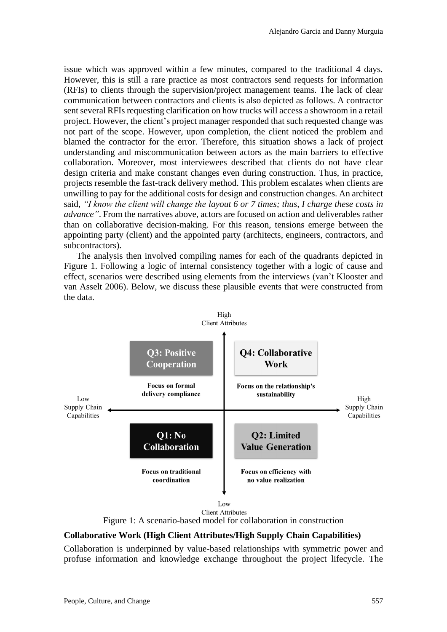issue which was approved within a few minutes, compared to the traditional 4 days. However, this is still a rare practice as most contractors send requests for information (RFIs) to clients through the supervision/project management teams. The lack of clear communication between contractors and clients is also depicted as follows. A contractor sent several RFIs requesting clarification on how trucks will access a showroom in a retail project. However, the client's project manager responded that such requested change was not part of the scope. However, upon completion, the client noticed the problem and blamed the contractor for the error. Therefore, this situation shows a lack of project understanding and miscommunication between actors as the main barriers to effective collaboration. Moreover, most interviewees described that clients do not have clear design criteria and make constant changes even during construction. Thus, in practice, projects resemble the fast-track delivery method. This problem escalates when clients are unwilling to pay for the additional costs for design and construction changes. An architect said, *"I know the client will change the layout 6 or 7 times; thus, I charge these costs in advance"*. From the narratives above, actors are focused on action and deliverables rather than on collaborative decision-making. For this reason, tensions emerge between the appointing party (client) and the appointed party (architects, engineers, contractors, and subcontractors).

The analysis then involved compiling names for each of the quadrants depicted in Figure 1. Following a logic of internal consistency together with a logic of cause and effect, scenarios were described using elements from the interviews (van't Klooster and van Asselt 2006). Below, we discuss these plausible events that were constructed from the data.



Figure 1: A scenario-based model for collaboration in construction

#### **Collaborative Work (High Client Attributes/High Supply Chain Capabilities)**

Collaboration is underpinned by value-based relationships with symmetric power and profuse information and knowledge exchange throughout the project lifecycle. The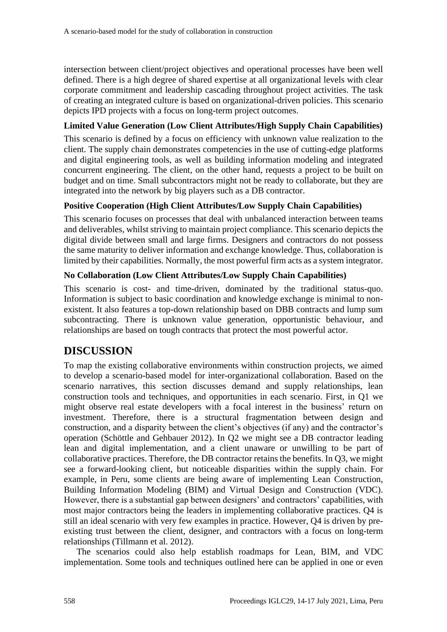intersection between client/project objectives and operational processes have been well defined. There is a high degree of shared expertise at all organizational levels with clear corporate commitment and leadership cascading throughout project activities. The task of creating an integrated culture is based on organizational-driven policies. This scenario depicts IPD projects with a focus on long-term project outcomes.

#### **Limited Value Generation (Low Client Attributes/High Supply Chain Capabilities)**

This scenario is defined by a focus on efficiency with unknown value realization to the client. The supply chain demonstrates competencies in the use of cutting-edge platforms and digital engineering tools, as well as building information modeling and integrated concurrent engineering. The client, on the other hand, requests a project to be built on budget and on time. Small subcontractors might not be ready to collaborate, but they are integrated into the network by big players such as a DB contractor.

#### **Positive Cooperation (High Client Attributes/Low Supply Chain Capabilities)**

This scenario focuses on processes that deal with unbalanced interaction between teams and deliverables, whilst striving to maintain project compliance. This scenario depicts the digital divide between small and large firms. Designers and contractors do not possess the same maturity to deliver information and exchange knowledge. Thus, collaboration is limited by their capabilities. Normally, the most powerful firm acts as a system integrator.

#### **No Collaboration (Low Client Attributes/Low Supply Chain Capabilities)**

This scenario is cost- and time-driven, dominated by the traditional status-quo. Information is subject to basic coordination and knowledge exchange is minimal to nonexistent. It also features a top-down relationship based on DBB contracts and lump sum subcontracting. There is unknown value generation, opportunistic behaviour, and relationships are based on tough contracts that protect the most powerful actor.

# **DISCUSSION**

To map the existing collaborative environments within construction projects, we aimed to develop a scenario-based model for inter-organizational collaboration. Based on the scenario narratives, this section discusses demand and supply relationships, lean construction tools and techniques, and opportunities in each scenario. First, in Q1 we might observe real estate developers with a focal interest in the business' return on investment. Therefore, there is a structural fragmentation between design and construction, and a disparity between the client's objectives (if any) and the contractor's operation (Schöttle and Gehbauer 2012). In Q2 we might see a DB contractor leading lean and digital implementation, and a client unaware or unwilling to be part of collaborative practices. Therefore, the DB contractor retains the benefits. In Q3, we might see a forward-looking client, but noticeable disparities within the supply chain. For example, in Peru, some clients are being aware of implementing Lean Construction, Building Information Modeling (BIM) and Virtual Design and Construction (VDC). However, there is a substantial gap between designers' and contractors' capabilities, with most major contractors being the leaders in implementing collaborative practices. Q4 is still an ideal scenario with very few examples in practice. However, Q4 is driven by preexisting trust between the client, designer, and contractors with a focus on long-term relationships (Tillmann et al. 2012).

The scenarios could also help establish roadmaps for Lean, BIM, and VDC implementation. Some tools and techniques outlined here can be applied in one or even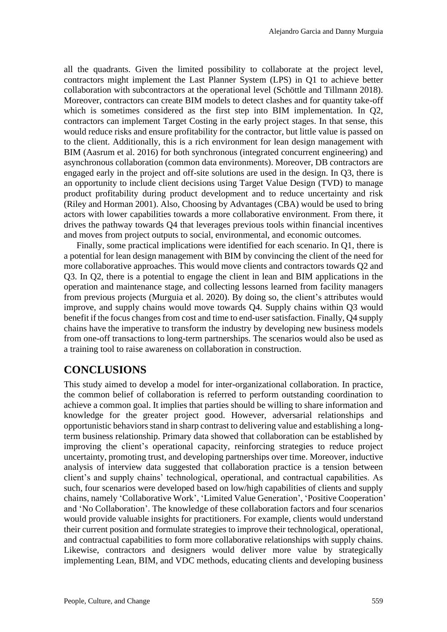all the quadrants. Given the limited possibility to collaborate at the project level, contractors might implement the Last Planner System (LPS) in Q1 to achieve better collaboration with subcontractors at the operational level (Schöttle and Tillmann 2018). Moreover, contractors can create BIM models to detect clashes and for quantity take-off which is sometimes considered as the first step into BIM implementation. In Q2, contractors can implement Target Costing in the early project stages. In that sense, this would reduce risks and ensure profitability for the contractor, but little value is passed on to the client. Additionally, this is a rich environment for lean design management with BIM (Aasrum et al. 2016) for both synchronous (integrated concurrent engineering) and asynchronous collaboration (common data environments). Moreover, DB contractors are engaged early in the project and off-site solutions are used in the design. In Q3, there is an opportunity to include client decisions using Target Value Design (TVD) to manage product profitability during product development and to reduce uncertainty and risk (Riley and Horman 2001). Also, Choosing by Advantages (CBA) would be used to bring actors with lower capabilities towards a more collaborative environment. From there, it drives the pathway towards Q4 that leverages previous tools within financial incentives and moves from project outputs to social, environmental, and economic outcomes.

Finally, some practical implications were identified for each scenario. In Q1, there is a potential for lean design management with BIM by convincing the client of the need for more collaborative approaches. This would move clients and contractors towards Q2 and Q3. In Q2, there is a potential to engage the client in lean and BIM applications in the operation and maintenance stage, and collecting lessons learned from facility managers from previous projects (Murguia et al. 2020). By doing so, the client's attributes would improve, and supply chains would move towards Q4. Supply chains within Q3 would benefit if the focus changes from cost and time to end-user satisfaction. Finally, Q4 supply chains have the imperative to transform the industry by developing new business models from one-off transactions to long-term partnerships. The scenarios would also be used as a training tool to raise awareness on collaboration in construction.

#### **CONCLUSIONS**

This study aimed to develop a model for inter-organizational collaboration. In practice, the common belief of collaboration is referred to perform outstanding coordination to achieve a common goal. It implies that parties should be willing to share information and knowledge for the greater project good. However, adversarial relationships and opportunistic behaviors stand in sharp contrast to delivering value and establishing a longterm business relationship. Primary data showed that collaboration can be established by improving the client's operational capacity, reinforcing strategies to reduce project uncertainty, promoting trust, and developing partnerships over time. Moreover, inductive analysis of interview data suggested that collaboration practice is a tension between client's and supply chains' technological, operational, and contractual capabilities. As such, four scenarios were developed based on low/high capabilities of clients and supply chains, namely 'Collaborative Work', 'Limited Value Generation', 'Positive Cooperation' and 'No Collaboration'. The knowledge of these collaboration factors and four scenarios would provide valuable insights for practitioners. For example, clients would understand their current position and formulate strategies to improve their technological, operational, and contractual capabilities to form more collaborative relationships with supply chains. Likewise, contractors and designers would deliver more value by strategically implementing Lean, BIM, and VDC methods, educating clients and developing business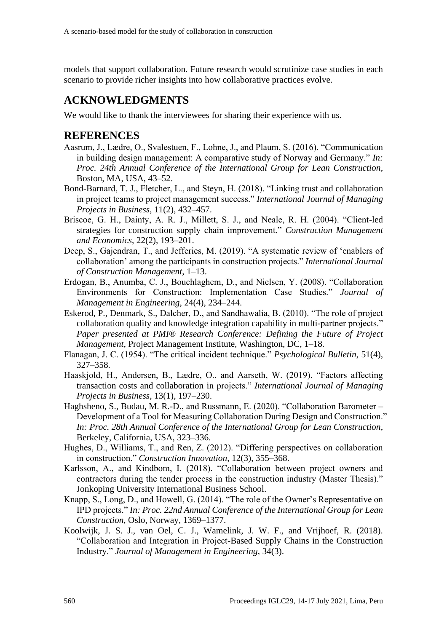models that support collaboration. Future research would scrutinize case studies in each scenario to provide richer insights into how collaborative practices evolve.

### **ACKNOWLEDGMENTS**

We would like to thank the interviewees for sharing their experience with us.

#### **REFERENCES**

- Aasrum, J., Lædre, O., Svalestuen, F., Lohne, J., and Plaum, S. (2016). "Communication in building design management: A comparative study of Norway and Germany." *In: Proc. 24th Annual Conference of the International Group for Lean Construction*, Boston, MA, USA, 43–52.
- Bond-Barnard, T. J., Fletcher, L., and Steyn, H. (2018). "Linking trust and collaboration in project teams to project management success." *International Journal of Managing Projects in Business*, 11(2), 432–457.
- Briscoe, G. H., Dainty, A. R. J., Millett, S. J., and Neale, R. H. (2004). "Client-led strategies for construction supply chain improvement." *Construction Management and Economics*, 22(2), 193–201.
- Deep, S., Gajendran, T., and Jefferies, M. (2019). "A systematic review of 'enablers of collaboration' among the participants in construction projects." *International Journal of Construction Management*, 1–13.
- Erdogan, B., Anumba, C. J., Bouchlaghem, D., and Nielsen, Y. (2008). "Collaboration Environments for Construction: Implementation Case Studies." *Journal of Management in Engineering*, 24(4), 234–244.
- Eskerod, P., Denmark, S., Dalcher, D., and Sandhawalia, B. (2010). "The role of project collaboration quality and knowledge integration capability in multi-partner projects." *Paper presented at PMI® Research Conference: Defining the Future of Project Management*, Project Management Institute, Washington, DC, 1–18.
- Flanagan, J. C. (1954). "The critical incident technique." *Psychological Bulletin*, 51(4), 327–358.
- Haaskjold, H., Andersen, B., Lædre, O., and Aarseth, W. (2019). "Factors affecting transaction costs and collaboration in projects." *International Journal of Managing Projects in Business*, 13(1), 197–230.
- Haghsheno, S., Budau, M. R.-D., and Russmann, E. (2020). "Collaboration Barometer Development of a Tool for Measuring Collaboration During Design and Construction." *In: Proc. 28th Annual Conference of the International Group for Lean Construction*, Berkeley, California, USA, 323–336.
- Hughes, D., Williams, T., and Ren, Z. (2012). "Differing perspectives on collaboration in construction." *Construction Innovation*, 12(3), 355–368.
- Karlsson, A., and Kindbom, I. (2018). "Collaboration between project owners and contractors during the tender process in the construction industry (Master Thesis)." Jonkoping University International Business School.
- Knapp, S., Long, D., and Howell, G. (2014). "The role of the Owner's Representative on IPD projects." *In: Proc. 22nd Annual Conference of the International Group for Lean Construction*, Oslo, Norway, 1369–1377.
- Koolwijk, J. S. J., van Oel, C. J., Wamelink, J. W. F., and Vrijhoef, R. (2018). "Collaboration and Integration in Project-Based Supply Chains in the Construction Industry." *Journal of Management in Engineering*, 34(3).